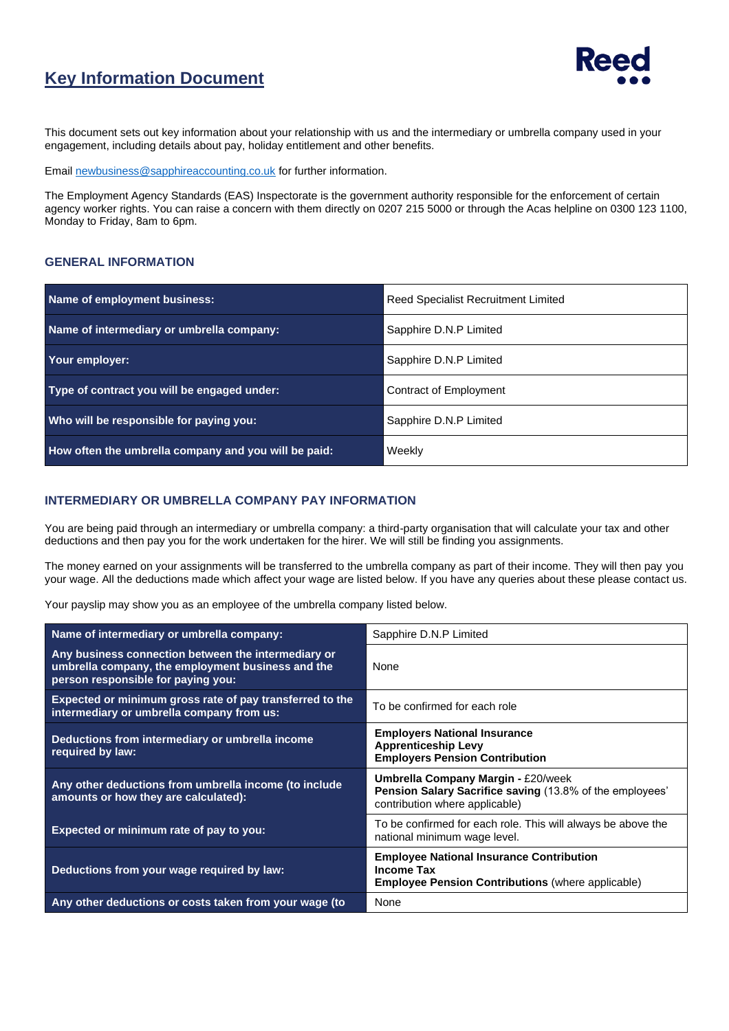

## **Key Information Document**

This document sets out key information about your relationship with us and the intermediary or umbrella company used in your engagement, including details about pay, holiday entitlement and other benefits.

Email [newbusiness@sapphireaccounting.co.uk](mailto:newbusiness@sapphireaccounting.co.uk) for further information.

The Employment Agency Standards (EAS) Inspectorate is the government authority responsible for the enforcement of certain agency worker rights. You can raise a concern with them directly on 0207 215 5000 or through the Acas helpline on 0300 123 1100, Monday to Friday, 8am to 6pm.

#### **GENERAL INFORMATION**

| Name of employment business:                         | <b>Reed Specialist Recruitment Limited</b> |  |
|------------------------------------------------------|--------------------------------------------|--|
| Name of intermediary or umbrella company:            | Sapphire D.N.P Limited                     |  |
| Your employer:                                       | Sapphire D.N.P Limited                     |  |
| Type of contract you will be engaged under:          | Contract of Employment                     |  |
| Who will be responsible for paying you:              | Sapphire D.N.P Limited                     |  |
| How often the umbrella company and you will be paid: | Weekly                                     |  |

#### **INTERMEDIARY OR UMBRELLA COMPANY PAY INFORMATION**

You are being paid through an intermediary or umbrella company: a third-party organisation that will calculate your tax and other deductions and then pay you for the work undertaken for the hirer. We will still be finding you assignments.

The money earned on your assignments will be transferred to the umbrella company as part of their income. They will then pay you your wage. All the deductions made which affect your wage are listed below. If you have any queries about these please contact us.

Your payslip may show you as an employee of the umbrella company listed below.

| Name of intermediary or umbrella company:                                                                                                      | Sapphire D.N.P Limited                                                                                                                  |  |
|------------------------------------------------------------------------------------------------------------------------------------------------|-----------------------------------------------------------------------------------------------------------------------------------------|--|
| Any business connection between the intermediary or<br>umbrella company, the employment business and the<br>person responsible for paying you: | None                                                                                                                                    |  |
| Expected or minimum gross rate of pay transferred to the<br>intermediary or umbrella company from us:                                          | To be confirmed for each role                                                                                                           |  |
| Deductions from intermediary or umbrella income<br>required by law:                                                                            | <b>Employers National Insurance</b><br><b>Apprenticeship Levy</b><br><b>Employers Pension Contribution</b>                              |  |
| Any other deductions from umbrella income (to include<br>amounts or how they are calculated):                                                  | <b>Umbrella Company Margin - £20/week</b><br>Pension Salary Sacrifice saving (13.8% of the employees'<br>contribution where applicable) |  |
| Expected or minimum rate of pay to you:                                                                                                        | To be confirmed for each role. This will always be above the<br>national minimum wage level.                                            |  |
| Deductions from your wage required by law:                                                                                                     | <b>Employee National Insurance Contribution</b><br><b>Income Tax</b><br><b>Employee Pension Contributions (where applicable)</b>        |  |
| Any other deductions or costs taken from your wage (to                                                                                         | None                                                                                                                                    |  |